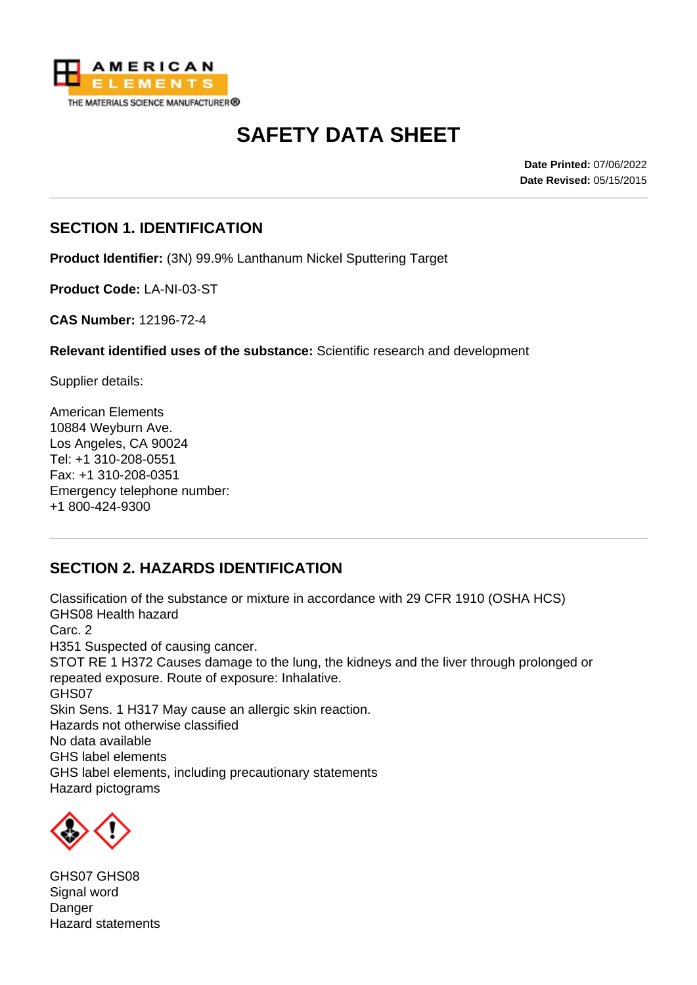

# **SAFETY DATA SHEET**

**Date Printed:** 07/06/2022 **Date Revised:** 05/15/2015

#### **SECTION 1. IDENTIFICATION**

**Product Identifier:** (3N) 99.9% Lanthanum Nickel Sputtering Target

**Product Code:** LA-NI-03-ST

**CAS Number:** 12196-72-4

**Relevant identified uses of the substance:** Scientific research and development

Supplier details:

American Elements 10884 Weyburn Ave. Los Angeles, CA 90024 Tel: +1 310-208-0551 Fax: +1 310-208-0351 Emergency telephone number: +1 800-424-9300

## **SECTION 2. HAZARDS IDENTIFICATION**

Classification of the substance or mixture in accordance with 29 CFR 1910 (OSHA HCS) GHS08 Health hazard Carc. 2 H351 Suspected of causing cancer. STOT RE 1 H372 Causes damage to the lung, the kidneys and the liver through prolonged or repeated exposure. Route of exposure: Inhalative. GHS07 Skin Sens. 1 H317 May cause an allergic skin reaction. Hazards not otherwise classified No data available GHS label elements GHS label elements, including precautionary statements Hazard pictograms



GHS07 GHS08 Signal word **Danger** Hazard statements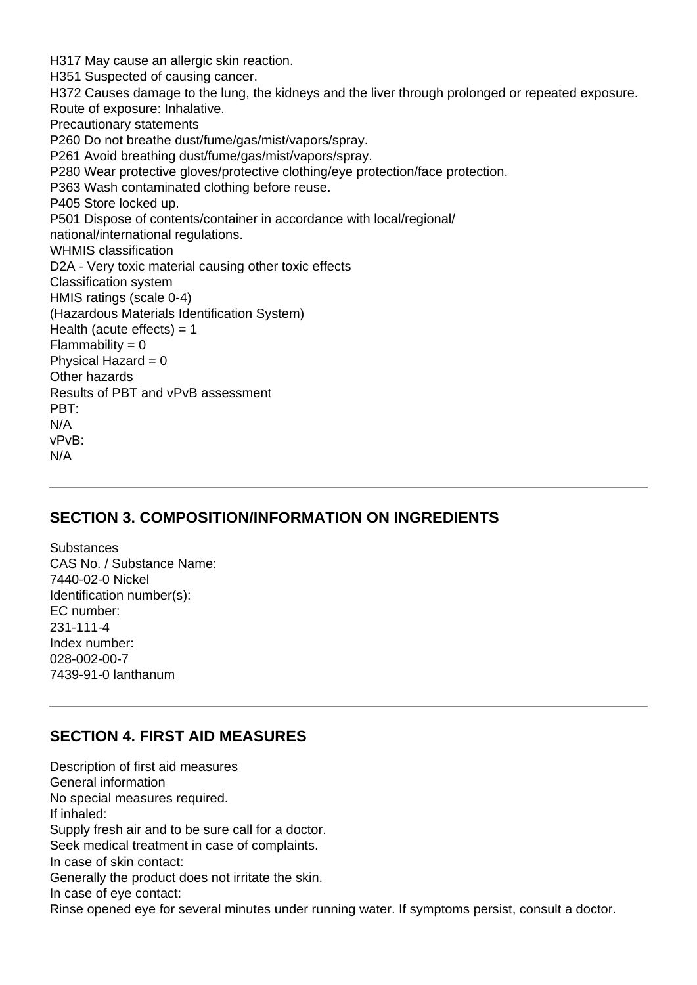H317 May cause an allergic skin reaction. H351 Suspected of causing cancer. H372 Causes damage to the lung, the kidneys and the liver through prolonged or repeated exposure. Route of exposure: Inhalative. Precautionary statements P260 Do not breathe dust/fume/gas/mist/vapors/spray. P261 Avoid breathing dust/fume/gas/mist/vapors/spray. P280 Wear protective gloves/protective clothing/eye protection/face protection. P363 Wash contaminated clothing before reuse. P405 Store locked up. P501 Dispose of contents/container in accordance with local/regional/ national/international regulations. WHMIS classification D2A - Very toxic material causing other toxic effects Classification system HMIS ratings (scale 0-4) (Hazardous Materials Identification System) Health (acute effects)  $= 1$  $Flammability = 0$ Physical Hazard  $= 0$ Other hazards Results of PBT and vPvB assessment PBT: N/A vPvB: N/A

#### **SECTION 3. COMPOSITION/INFORMATION ON INGREDIENTS**

**Substances** CAS No. / Substance Name: 7440-02-0 Nickel Identification number(s): EC number: 231-111-4 Index number: 028-002-00-7 7439-91-0 lanthanum

#### **SECTION 4. FIRST AID MEASURES**

Description of first aid measures General information No special measures required. If inhaled: Supply fresh air and to be sure call for a doctor. Seek medical treatment in case of complaints. In case of skin contact: Generally the product does not irritate the skin. In case of eye contact: Rinse opened eye for several minutes under running water. If symptoms persist, consult a doctor.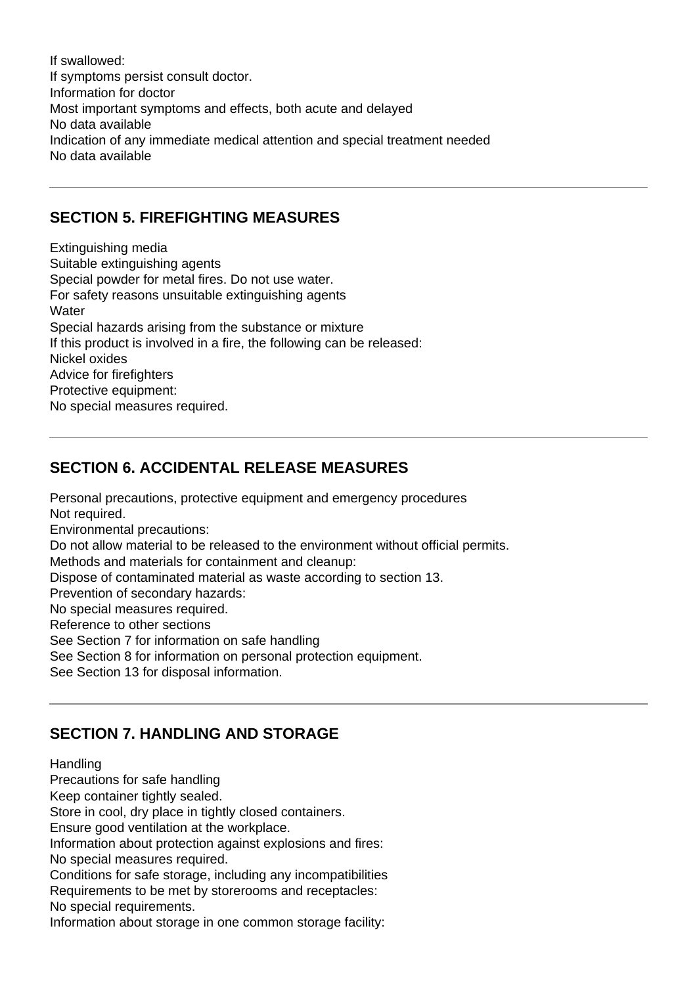If swallowed: If symptoms persist consult doctor. Information for doctor Most important symptoms and effects, both acute and delayed No data available Indication of any immediate medical attention and special treatment needed No data available

#### **SECTION 5. FIREFIGHTING MEASURES**

Extinguishing media Suitable extinguishing agents Special powder for metal fires. Do not use water. For safety reasons unsuitable extinguishing agents **Water** Special hazards arising from the substance or mixture If this product is involved in a fire, the following can be released: Nickel oxides Advice for firefighters Protective equipment: No special measures required.

## **SECTION 6. ACCIDENTAL RELEASE MEASURES**

Personal precautions, protective equipment and emergency procedures Not required. Environmental precautions: Do not allow material to be released to the environment without official permits. Methods and materials for containment and cleanup: Dispose of contaminated material as waste according to section 13. Prevention of secondary hazards: No special measures required. Reference to other sections See Section 7 for information on safe handling See Section 8 for information on personal protection equipment. See Section 13 for disposal information.

## **SECTION 7. HANDLING AND STORAGE**

**Handling** 

Precautions for safe handling

Keep container tightly sealed.

Store in cool, dry place in tightly closed containers.

Ensure good ventilation at the workplace.

Information about protection against explosions and fires:

No special measures required.

Conditions for safe storage, including any incompatibilities

Requirements to be met by storerooms and receptacles:

No special requirements.

Information about storage in one common storage facility: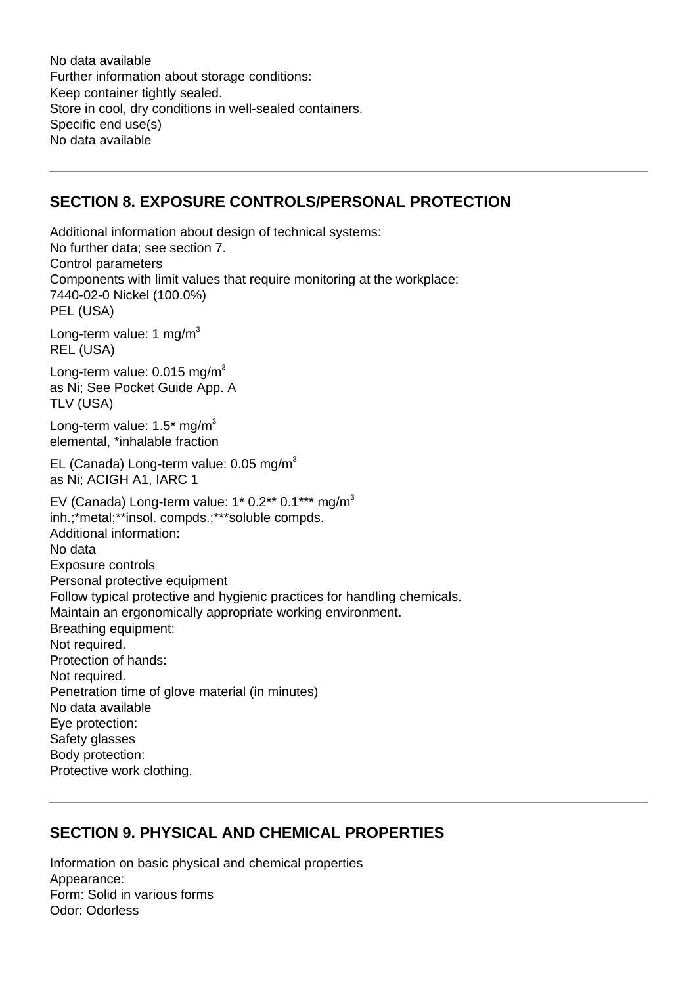No data available Further information about storage conditions: Keep container tightly sealed. Store in cool, dry conditions in well-sealed containers. Specific end use(s) No data available

#### **SECTION 8. EXPOSURE CONTROLS/PERSONAL PROTECTION**

Additional information about design of technical systems: No further data; see section 7. Control parameters Components with limit values that require monitoring at the workplace: 7440-02-0 Nickel (100.0%) PEL (USA) Long-term value:  $1$  mg/m<sup>3</sup> REL (USA) Long-term value:  $0.015$  mg/m<sup>3</sup> as Ni; See Pocket Guide App. A TLV (USA) Long-term value:  $1.5^*$  mg/m<sup>3</sup> elemental, \*inhalable fraction EL (Canada) Long-term value:  $0.05$  mg/m<sup>3</sup> as Ni; ACIGH A1, IARC 1 EV (Canada) Long-term value:  $1*0.2**0.1***$  mg/m<sup>3</sup> inh.;\*metal;\*\*insol. compds.;\*\*\*soluble compds. Additional information: No data Exposure controls Personal protective equipment Follow typical protective and hygienic practices for handling chemicals. Maintain an ergonomically appropriate working environment. Breathing equipment: Not required. Protection of hands: Not required. Penetration time of glove material (in minutes) No data available Eye protection: Safety glasses Body protection: Protective work clothing.

#### **SECTION 9. PHYSICAL AND CHEMICAL PROPERTIES**

Information on basic physical and chemical properties Appearance: Form: Solid in various forms Odor: Odorless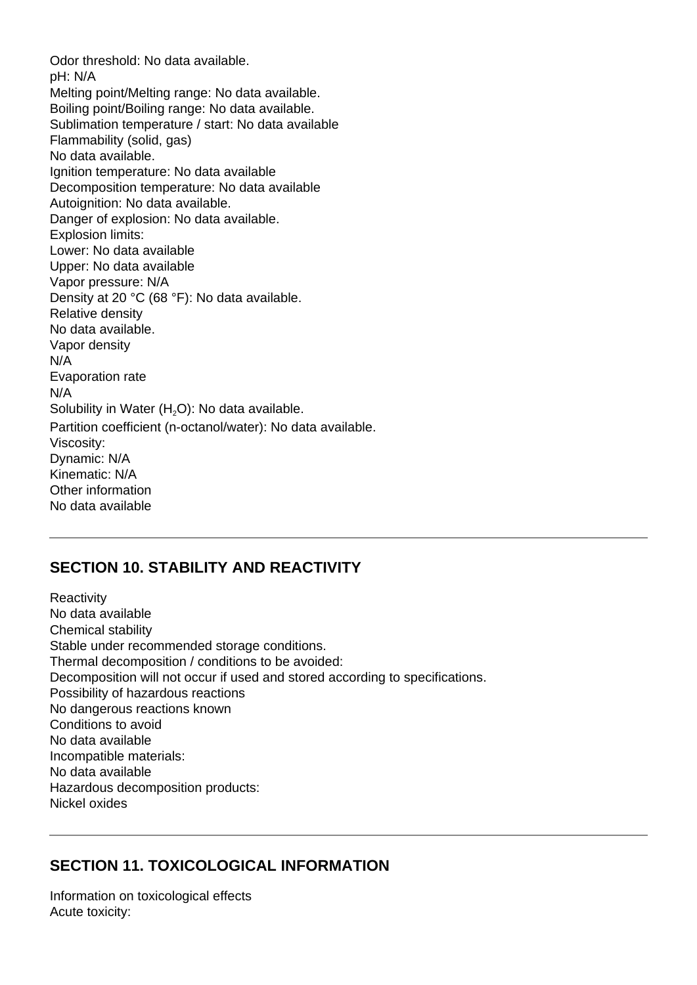Odor threshold: No data available. pH: N/A Melting point/Melting range: No data available. Boiling point/Boiling range: No data available. Sublimation temperature / start: No data available Flammability (solid, gas) No data available. Ignition temperature: No data available Decomposition temperature: No data available Autoignition: No data available. Danger of explosion: No data available. Explosion limits: Lower: No data available Upper: No data available Vapor pressure: N/A Density at 20 °C (68 °F): No data available. Relative density No data available. Vapor density N/A Evaporation rate N/A Solubility in Water  $(H<sub>2</sub>O)$ : No data available. Partition coefficient (n-octanol/water): No data available. Viscosity: Dynamic: N/A Kinematic: N/A Other information No data available

## **SECTION 10. STABILITY AND REACTIVITY**

**Reactivity** No data available Chemical stability Stable under recommended storage conditions. Thermal decomposition / conditions to be avoided: Decomposition will not occur if used and stored according to specifications. Possibility of hazardous reactions No dangerous reactions known Conditions to avoid No data available Incompatible materials: No data available Hazardous decomposition products: Nickel oxides

## **SECTION 11. TOXICOLOGICAL INFORMATION**

Information on toxicological effects Acute toxicity: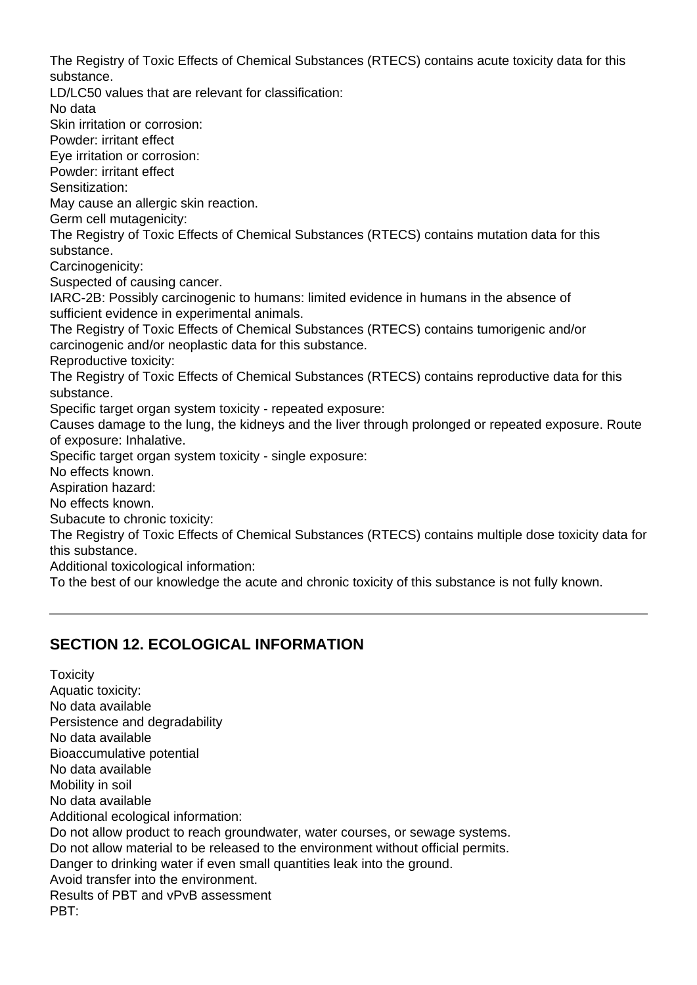The Registry of Toxic Effects of Chemical Substances (RTECS) contains acute toxicity data for this substance.

LD/LC50 values that are relevant for classification:

No data

Skin irritation or corrosion:

Powder: irritant effect

Eye irritation or corrosion:

Powder: irritant effect

Sensitization:

May cause an allergic skin reaction.

Germ cell mutagenicity:

The Registry of Toxic Effects of Chemical Substances (RTECS) contains mutation data for this substance.

Carcinogenicity:

Suspected of causing cancer.

IARC-2B: Possibly carcinogenic to humans: limited evidence in humans in the absence of sufficient evidence in experimental animals.

The Registry of Toxic Effects of Chemical Substances (RTECS) contains tumorigenic and/or carcinogenic and/or neoplastic data for this substance.

Reproductive toxicity:

The Registry of Toxic Effects of Chemical Substances (RTECS) contains reproductive data for this substance.

Specific target organ system toxicity - repeated exposure:

Causes damage to the lung, the kidneys and the liver through prolonged or repeated exposure. Route of exposure: Inhalative.

Specific target organ system toxicity - single exposure:

No effects known.

Aspiration hazard:

No effects known.

Subacute to chronic toxicity:

The Registry of Toxic Effects of Chemical Substances (RTECS) contains multiple dose toxicity data for this substance.

Additional toxicological information:

To the best of our knowledge the acute and chronic toxicity of this substance is not fully known.

#### **SECTION 12. ECOLOGICAL INFORMATION**

Toxicity Aquatic toxicity: No data available Persistence and degradability No data available Bioaccumulative potential No data available Mobility in soil No data available Additional ecological information: Do not allow product to reach groundwater, water courses, or sewage systems. Do not allow material to be released to the environment without official permits. Danger to drinking water if even small quantities leak into the ground. Avoid transfer into the environment. Results of PBT and vPvB assessment PBT: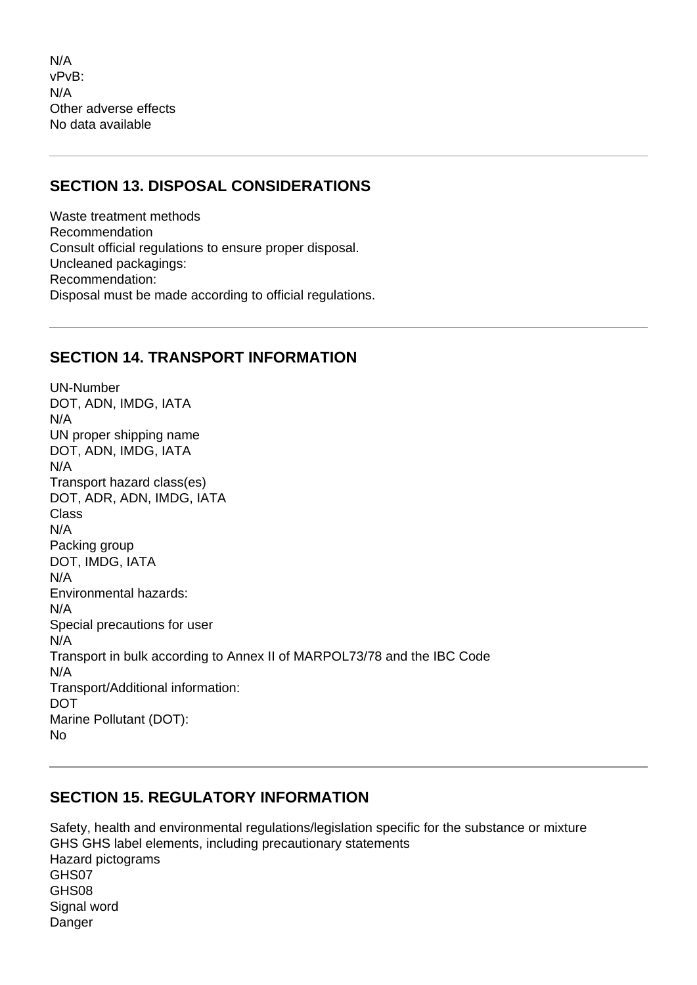#### **SECTION 13. DISPOSAL CONSIDERATIONS**

Waste treatment methods Recommendation Consult official regulations to ensure proper disposal. Uncleaned packagings: Recommendation: Disposal must be made according to official regulations.

#### **SECTION 14. TRANSPORT INFORMATION**

UN-Number DOT, ADN, IMDG, IATA N/A UN proper shipping name DOT, ADN, IMDG, IATA N/A Transport hazard class(es) DOT, ADR, ADN, IMDG, IATA Class N/A Packing group DOT, IMDG, IATA N/A Environmental hazards: N/A Special precautions for user N/A Transport in bulk according to Annex II of MARPOL73/78 and the IBC Code N/A Transport/Additional information: DOT Marine Pollutant (DOT): No

## **SECTION 15. REGULATORY INFORMATION**

Safety, health and environmental regulations/legislation specific for the substance or mixture GHS GHS label elements, including precautionary statements Hazard pictograms GHS07 GHS08 Signal word Danger